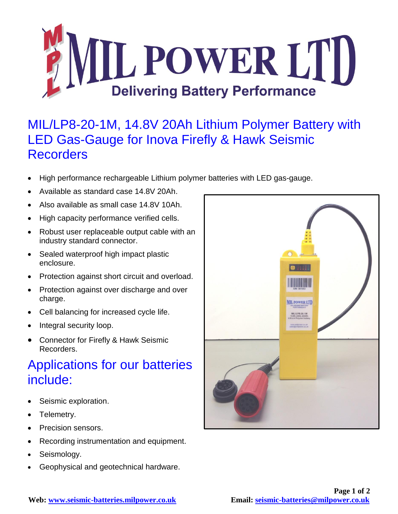

## MIL/LP8-20-1M, 14.8V 20Ah Lithium Polymer Battery with LED Gas-Gauge for Inova Firefly & Hawk Seismic **Recorders**

- High performance rechargeable Lithium polymer batteries with LED gas-gauge.
- Available as standard case 14.8V 20Ah.
- Also available as small case 14.8V 10Ah.
- High capacity performance verified cells.
- Robust user replaceable output cable with an industry standard connector.
- Sealed waterproof high impact plastic enclosure.
- Protection against short circuit and overload.
- Protection against over discharge and over charge.
- Cell balancing for increased cycle life.
- Integral security loop.
- Connector for Firefly & Hawk Seismic Recorders.

## Applications for our batteries include:

- Seismic exploration.
- Telemetry.
- Precision sensors.
- Recording instrumentation and equipment.
- Seismology.
- Geophysical and geotechnical hardware.